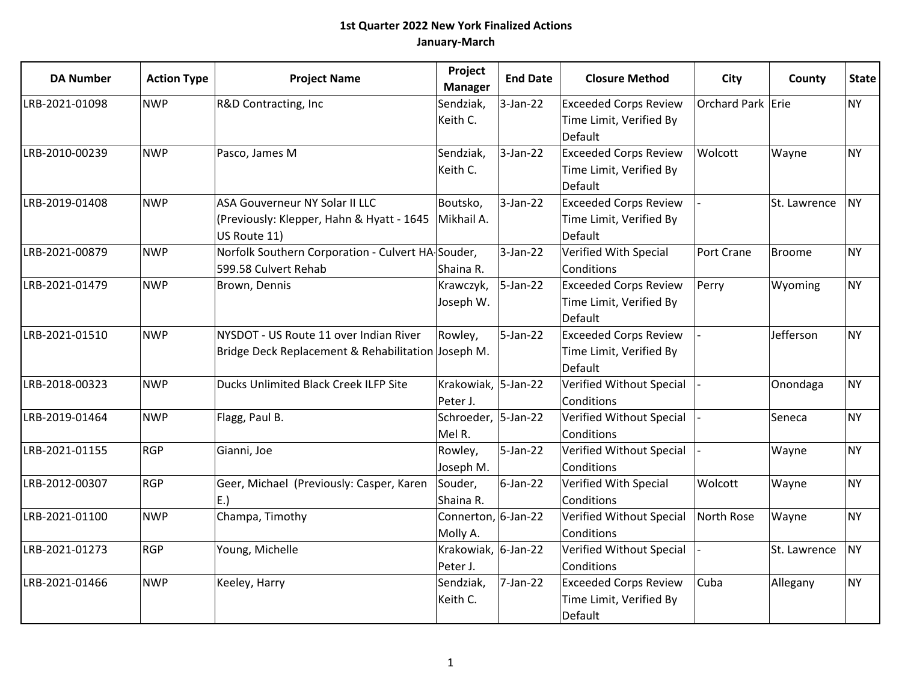| <b>DA Number</b> | <b>Action Type</b> | <b>Project Name</b>                                                                          | Project<br><b>Manager</b>       | <b>End Date</b> | <b>Closure Method</b>                                              | City              | County        | <b>State</b> |
|------------------|--------------------|----------------------------------------------------------------------------------------------|---------------------------------|-----------------|--------------------------------------------------------------------|-------------------|---------------|--------------|
| LRB-2021-01098   | <b>NWP</b>         | R&D Contracting, Inc                                                                         | Sendziak,<br>Keith C.           | $3-Jan-22$      | <b>Exceeded Corps Review</b><br>Time Limit, Verified By<br>Default | Orchard Park Erie |               | <b>NY</b>    |
| LRB-2010-00239   | <b>NWP</b>         | Pasco, James M                                                                               | Sendziak,<br>Keith C.           | $3-Jan-22$      | <b>Exceeded Corps Review</b><br>Time Limit, Verified By<br>Default | Wolcott           | Wayne         | <b>NY</b>    |
| LRB-2019-01408   | <b>NWP</b>         | ASA Gouverneur NY Solar II LLC<br>(Previously: Klepper, Hahn & Hyatt - 1645<br>US Route 11)  | Boutsko,<br>Mikhail A.          | $3-Jan-22$      | <b>Exceeded Corps Review</b><br>Time Limit, Verified By<br>Default |                   | St. Lawrence  | <b>NY</b>    |
| LRB-2021-00879   | <b>NWP</b>         | Norfolk Southern Corporation - Culvert HA-Souder,<br>599.58 Culvert Rehab                    | Shaina R.                       | $3-Jan-22$      | Verified With Special<br>Conditions                                | Port Crane        | <b>Broome</b> | <b>NY</b>    |
| LRB-2021-01479   | <b>NWP</b>         | Brown, Dennis                                                                                | Krawczyk,<br>Joseph W.          | $5$ -Jan-22     | <b>Exceeded Corps Review</b><br>Time Limit, Verified By<br>Default | Perry             | Wyoming       | <b>NY</b>    |
| LRB-2021-01510   | <b>NWP</b>         | NYSDOT - US Route 11 over Indian River<br>Bridge Deck Replacement & Rehabilitation Joseph M. | Rowley,                         | $5 - Jan-22$    | <b>Exceeded Corps Review</b><br>Time Limit, Verified By<br>Default |                   | Jefferson     | <b>NY</b>    |
| LRB-2018-00323   | <b>NWP</b>         | Ducks Unlimited Black Creek ILFP Site                                                        | Krakowiak, 5-Jan-22<br>Peter J. |                 | Verified Without Special<br>Conditions                             |                   | Onondaga      | <b>NY</b>    |
| LRB-2019-01464   | <b>NWP</b>         | Flagg, Paul B.                                                                               | Schroeder, 5-Jan-22<br>Mel R.   |                 | Verified Without Special<br>Conditions                             |                   | Seneca        | <b>NY</b>    |
| LRB-2021-01155   | <b>RGP</b>         | Gianni, Joe                                                                                  | Rowley,<br>Joseph M.            | 5-Jan-22        | Verified Without Special<br>Conditions                             |                   | Wayne         | <b>NY</b>    |
| LRB-2012-00307   | <b>RGP</b>         | Geer, Michael (Previously: Casper, Karen<br>$ E_{\cdot}\rangle$                              | Souder,<br>Shaina R.            | $6$ -Jan-22     | Verified With Special<br>Conditions                                | Wolcott           | Wayne         | <b>NY</b>    |
| LRB-2021-01100   | <b>NWP</b>         | Champa, Timothy                                                                              | Connerton, 6-Jan-22<br>Molly A. |                 | Verified Without Special<br>Conditions                             | North Rose        | Wayne         | <b>NY</b>    |
| LRB-2021-01273   | <b>RGP</b>         | Young, Michelle                                                                              | Krakowiak, 6-Jan-22<br>Peter J. |                 | Verified Without Special<br>Conditions                             |                   | St. Lawrence  | <b>NY</b>    |
| LRB-2021-01466   | <b>NWP</b>         | Keeley, Harry                                                                                | Sendziak,<br>Keith C.           | 7-Jan-22        | <b>Exceeded Corps Review</b><br>Time Limit, Verified By<br>Default | Cuba              | Allegany      | <b>NY</b>    |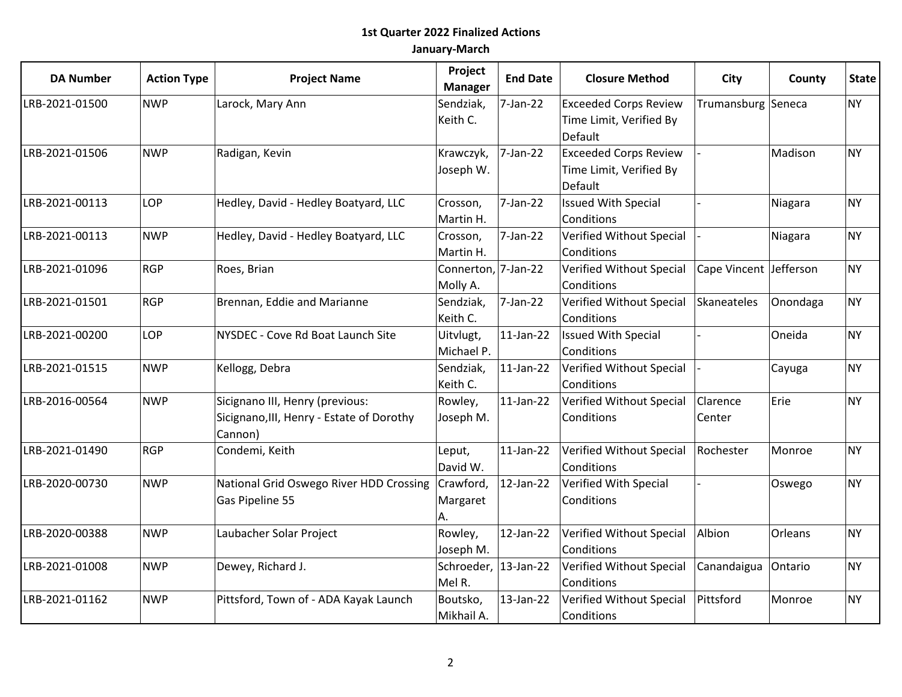| <b>DA Number</b> | <b>Action Type</b> | <b>Project Name</b>                       | Project<br><b>Manager</b> | <b>End Date</b> | <b>Closure Method</b>        | City                   | County   | <b>State</b> |
|------------------|--------------------|-------------------------------------------|---------------------------|-----------------|------------------------------|------------------------|----------|--------------|
| LRB-2021-01500   | <b>NWP</b>         | Larock, Mary Ann                          | Sendziak,                 | 7-Jan-22        | <b>Exceeded Corps Review</b> | Trumansburg Seneca     |          | <b>NY</b>    |
|                  |                    |                                           | Keith C.                  |                 | Time Limit, Verified By      |                        |          |              |
|                  |                    |                                           |                           |                 | Default                      |                        |          |              |
| LRB-2021-01506   | <b>NWP</b>         | Radigan, Kevin                            | Krawczyk,                 | 7-Jan-22        | <b>Exceeded Corps Review</b> |                        | Madison  | <b>NY</b>    |
|                  |                    |                                           | Joseph W.                 |                 | Time Limit, Verified By      |                        |          |              |
|                  |                    |                                           |                           |                 | Default                      |                        |          |              |
| LRB-2021-00113   | LOP                | Hedley, David - Hedley Boatyard, LLC      | Crosson,                  | 7-Jan-22        | <b>Issued With Special</b>   |                        | Niagara  | <b>NY</b>    |
|                  |                    |                                           | Martin H.                 |                 | Conditions                   |                        |          |              |
| LRB-2021-00113   | <b>NWP</b>         | Hedley, David - Hedley Boatyard, LLC      | Crosson,                  | 7-Jan-22        | Verified Without Special     |                        | Niagara  | <b>NY</b>    |
|                  |                    |                                           | Martin H.                 |                 | Conditions                   |                        |          |              |
| LRB-2021-01096   | <b>RGP</b>         | Roes, Brian                               | Connerton, 7-Jan-22       |                 | Verified Without Special     | Cape Vincent Jefferson |          | <b>NY</b>    |
|                  |                    |                                           | Molly A.                  |                 | Conditions                   |                        |          |              |
| LRB-2021-01501   | <b>RGP</b>         | Brennan, Eddie and Marianne               | Sendziak,                 | 7-Jan-22        | Verified Without Special     | Skaneateles            | Onondaga | <b>NY</b>    |
|                  |                    |                                           | Keith C.                  |                 | Conditions                   |                        |          |              |
| LRB-2021-00200   | LOP                | NYSDEC - Cove Rd Boat Launch Site         | Uitvlugt,                 | $11$ -Jan-22    | <b>Issued With Special</b>   |                        | Oneida   | <b>NY</b>    |
|                  |                    |                                           | Michael P.                |                 | Conditions                   |                        |          |              |
| LRB-2021-01515   | <b>NWP</b>         | Kellogg, Debra                            | Sendziak,                 | $11$ -Jan-22    | Verified Without Special     |                        | Cayuga   | <b>NY</b>    |
|                  |                    |                                           | Keith C.                  |                 | Conditions                   |                        |          |              |
| LRB-2016-00564   | <b>NWP</b>         | Sicignano III, Henry (previous:           | Rowley,                   | $11$ -Jan-22    | Verified Without Special     | Clarence               | Erie     | <b>NY</b>    |
|                  |                    | Sicignano, III, Henry - Estate of Dorothy | Joseph M.                 |                 | Conditions                   | Center                 |          |              |
|                  |                    | Cannon)                                   |                           |                 |                              |                        |          |              |
| LRB-2021-01490   | <b>RGP</b>         | Condemi, Keith                            | Leput,                    | $11$ -Jan-22    | Verified Without Special     | Rochester              | Monroe   | <b>NY</b>    |
|                  |                    |                                           | David W.                  |                 | Conditions                   |                        |          |              |
| LRB-2020-00730   | <b>NWP</b>         | National Grid Oswego River HDD Crossing   | Crawford,                 | $12$ -Jan-22    | Verified With Special        |                        | Oswego   | <b>NY</b>    |
|                  |                    | Gas Pipeline 55                           | Margaret                  |                 | Conditions                   |                        |          |              |
|                  |                    |                                           | А.                        |                 |                              |                        |          |              |
| LRB-2020-00388   | <b>NWP</b>         | Laubacher Solar Project                   | Rowley,                   | $12$ -Jan-22    | Verified Without Special     | Albion                 | Orleans  | <b>NY</b>    |
|                  |                    |                                           | Joseph M.                 |                 | Conditions                   |                        |          |              |
| LRB-2021-01008   | <b>NWP</b>         | Dewey, Richard J.                         | Schroeder,                | 13-Jan-22       | Verified Without Special     | Canandaigua            | Ontario  | <b>NY</b>    |
|                  |                    |                                           | Mel R.                    |                 | Conditions                   |                        |          |              |
| LRB-2021-01162   | <b>NWP</b>         | Pittsford, Town of - ADA Kayak Launch     | Boutsko,                  | 13-Jan-22       | Verified Without Special     | Pittsford              | Monroe   | <b>NY</b>    |
|                  |                    |                                           | Mikhail A.                |                 | Conditions                   |                        |          |              |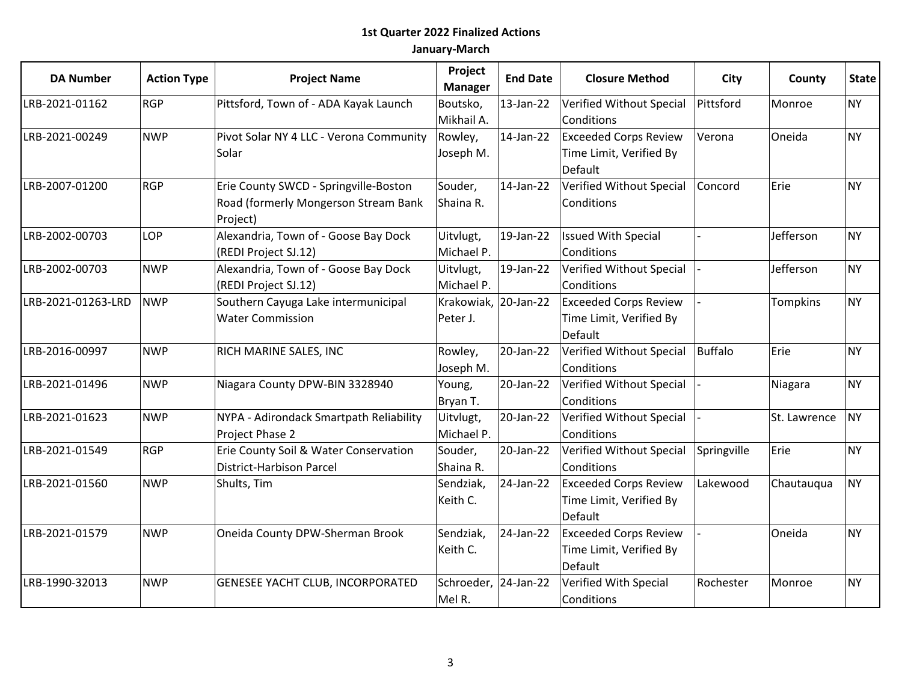| <b>DA Number</b>   | <b>Action Type</b> | <b>Project Name</b>                              | Project<br><b>Manager</b> | <b>End Date</b> | <b>Closure Method</b>        | City        | County          | <b>State</b> |
|--------------------|--------------------|--------------------------------------------------|---------------------------|-----------------|------------------------------|-------------|-----------------|--------------|
| LRB-2021-01162     | <b>RGP</b>         | Pittsford, Town of - ADA Kayak Launch            | Boutsko,                  | $13$ -Jan-22    | Verified Without Special     | Pittsford   | Monroe          | <b>NY</b>    |
|                    |                    |                                                  | Mikhail A.                |                 | Conditions                   |             |                 |              |
| LRB-2021-00249     | <b>NWP</b>         | Pivot Solar NY 4 LLC - Verona Community          | Rowley,                   | 14-Jan-22       | <b>Exceeded Corps Review</b> | Verona      | Oneida          | <b>NY</b>    |
|                    |                    | Solar                                            | Joseph M.                 |                 | Time Limit, Verified By      |             |                 |              |
|                    |                    |                                                  |                           |                 | Default                      |             |                 |              |
| LRB-2007-01200     | <b>RGP</b>         | Erie County SWCD - Springville-Boston            | Souder,                   | 14-Jan-22       | Verified Without Special     | Concord     | Erie            | <b>NY</b>    |
|                    |                    | Road (formerly Mongerson Stream Bank<br>Project) | Shaina R.                 |                 | Conditions                   |             |                 |              |
| LRB-2002-00703     | <b>LOP</b>         | Alexandria, Town of - Goose Bay Dock             | Uitvlugt,                 | 19-Jan-22       | <b>Issued With Special</b>   |             | Jefferson       | <b>NY</b>    |
|                    |                    | (REDI Project SJ.12)                             | Michael P.                |                 | Conditions                   |             |                 |              |
| LRB-2002-00703     | <b>NWP</b>         | Alexandria, Town of - Goose Bay Dock             | Uitvlugt,                 | 19-Jan-22       | Verified Without Special     |             | Jefferson       | <b>NY</b>    |
|                    |                    | (REDI Project SJ.12)                             | Michael P.                |                 | Conditions                   |             |                 |              |
| LRB-2021-01263-LRD | <b>NWP</b>         | Southern Cayuga Lake intermunicipal              | Krakowiak, 20-Jan-22      |                 | <b>Exceeded Corps Review</b> |             | <b>Tompkins</b> | <b>NY</b>    |
|                    |                    | <b>Water Commission</b>                          | Peter J.                  |                 | Time Limit, Verified By      |             |                 |              |
|                    |                    |                                                  |                           |                 | Default                      |             |                 |              |
| LRB-2016-00997     | <b>NWP</b>         | RICH MARINE SALES, INC                           | Rowley,                   | 20-Jan-22       | Verified Without Special     | Buffalo     | Erie            | <b>NY</b>    |
|                    |                    |                                                  | Joseph M.                 |                 | Conditions                   |             |                 |              |
| LRB-2021-01496     | <b>NWP</b>         | Niagara County DPW-BIN 3328940                   | Young,                    | 20-Jan-22       | Verified Without Special     |             | Niagara         | <b>NY</b>    |
|                    |                    |                                                  | Bryan T.                  |                 | Conditions                   |             |                 |              |
| LRB-2021-01623     | <b>NWP</b>         | NYPA - Adirondack Smartpath Reliability          | Uitvlugt,                 | 20-Jan-22       | Verified Without Special     |             | St. Lawrence    | <b>NY</b>    |
|                    |                    | Project Phase 2                                  | Michael P.                |                 | Conditions                   |             |                 |              |
| LRB-2021-01549     | <b>RGP</b>         | Erie County Soil & Water Conservation            | Souder,                   | 20-Jan-22       | Verified Without Special     | Springville | Erie            | <b>NY</b>    |
|                    |                    | District-Harbison Parcel                         | Shaina R.                 |                 | Conditions                   |             |                 |              |
| LRB-2021-01560     | <b>NWP</b>         | Shults, Tim                                      | Sendziak,                 | 24-Jan-22       | <b>Exceeded Corps Review</b> | Lakewood    | Chautauqua      | <b>NY</b>    |
|                    |                    |                                                  | Keith C.                  |                 | Time Limit, Verified By      |             |                 |              |
|                    |                    |                                                  |                           |                 | Default                      |             |                 |              |
| LRB-2021-01579     | <b>NWP</b>         | Oneida County DPW-Sherman Brook                  | Sendziak,                 | 24-Jan-22       | <b>Exceeded Corps Review</b> |             | Oneida          | <b>NY</b>    |
|                    |                    |                                                  | Keith C.                  |                 | Time Limit, Verified By      |             |                 |              |
|                    |                    |                                                  |                           |                 | Default                      |             |                 |              |
| LRB-1990-32013     | <b>NWP</b>         | <b>GENESEE YACHT CLUB, INCORPORATED</b>          | Schroeder, 24-Jan-22      |                 | Verified With Special        | Rochester   | Monroe          | <b>NY</b>    |
|                    |                    |                                                  | Mel R.                    |                 | Conditions                   |             |                 |              |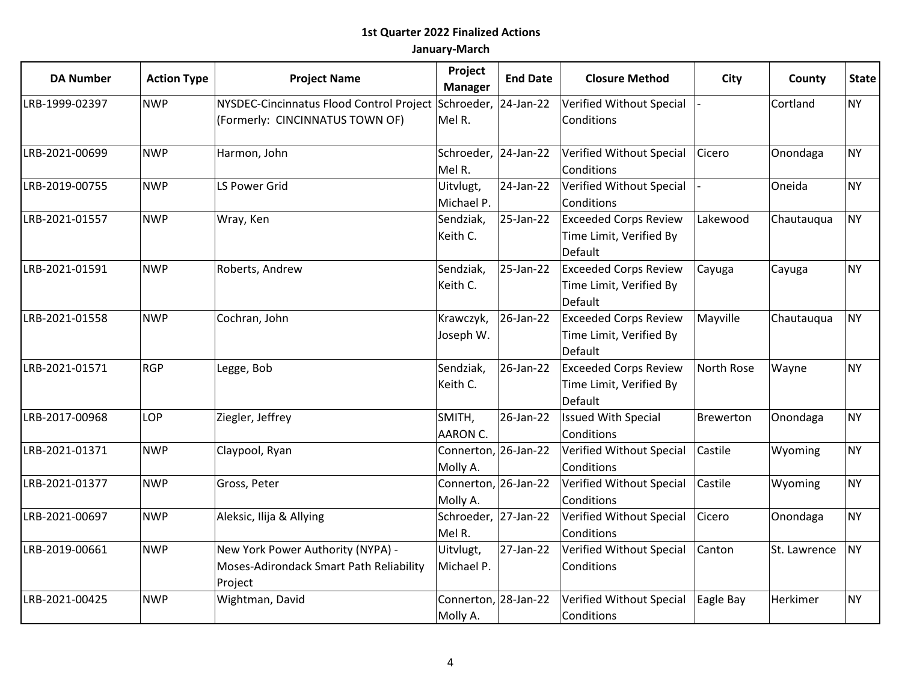| <b>DA Number</b> | <b>Action Type</b> | <b>Project Name</b>                                                                              | Project<br><b>Manager</b>        | <b>End Date</b> | <b>Closure Method</b>                                              | City             | County       | <b>State</b> |
|------------------|--------------------|--------------------------------------------------------------------------------------------------|----------------------------------|-----------------|--------------------------------------------------------------------|------------------|--------------|--------------|
| LRB-1999-02397   | <b>NWP</b>         | NYSDEC-Cincinnatus Flood Control Project Schroeder, 24-Jan-22<br>(Formerly: CINCINNATUS TOWN OF) | Mel R.                           |                 | Verified Without Special<br>Conditions                             |                  | Cortland     | <b>NY</b>    |
| LRB-2021-00699   | <b>NWP</b>         | Harmon, John                                                                                     | Schroeder, 24-Jan-22<br>Mel R.   |                 | Verified Without Special<br>Conditions                             | Cicero           | Onondaga     | <b>NY</b>    |
| LRB-2019-00755   | <b>NWP</b>         | <b>LS Power Grid</b>                                                                             | Uitvlugt,<br>Michael P.          | 24-Jan-22       | Verified Without Special<br>Conditions                             |                  | Oneida       | <b>NY</b>    |
| LRB-2021-01557   | <b>NWP</b>         | Wray, Ken                                                                                        | Sendziak,<br>Keith C.            | 25-Jan-22       | <b>Exceeded Corps Review</b><br>Time Limit, Verified By<br>Default | Lakewood         | Chautauqua   | <b>NY</b>    |
| LRB-2021-01591   | <b>NWP</b>         | Roberts, Andrew                                                                                  | Sendziak,<br>Keith C.            | 25-Jan-22       | <b>Exceeded Corps Review</b><br>Time Limit, Verified By<br>Default | Cayuga           | Cayuga       | <b>NY</b>    |
| LRB-2021-01558   | <b>NWP</b>         | Cochran, John                                                                                    | Krawczyk,<br>Joseph W.           | 26-Jan-22       | <b>Exceeded Corps Review</b><br>Time Limit, Verified By<br>Default | Mayville         | Chautauqua   | <b>NY</b>    |
| LRB-2021-01571   | <b>RGP</b>         | Legge, Bob                                                                                       | Sendziak,<br>Keith C.            | 26-Jan-22       | <b>Exceeded Corps Review</b><br>Time Limit, Verified By<br>Default | North Rose       | Wayne        | <b>NY</b>    |
| LRB-2017-00968   | LOP                | Ziegler, Jeffrey                                                                                 | SMITH,<br>AARON C.               | 26-Jan-22       | <b>Issued With Special</b><br>Conditions                           | <b>Brewerton</b> | Onondaga     | <b>NY</b>    |
| LRB-2021-01371   | <b>NWP</b>         | Claypool, Ryan                                                                                   | Connerton, 26-Jan-22<br>Molly A. |                 | Verified Without Special<br>Conditions                             | Castile          | Wyoming      | <b>NY</b>    |
| LRB-2021-01377   | <b>NWP</b>         | Gross, Peter                                                                                     | Connerton, 26-Jan-22<br>Molly A. |                 | Verified Without Special<br>Conditions                             | Castile          | Wyoming      | <b>NY</b>    |
| LRB-2021-00697   | <b>NWP</b>         | Aleksic, Ilija & Allying                                                                         | Schroeder, 27-Jan-22<br>Mel R.   |                 | Verified Without Special<br>Conditions                             | Cicero           | Onondaga     | <b>NY</b>    |
| LRB-2019-00661   | <b>NWP</b>         | New York Power Authority (NYPA) -<br>Moses-Adirondack Smart Path Reliability<br>Project          | Uitvlugt,<br>Michael P.          | 27-Jan-22       | Verified Without Special<br>Conditions                             | Canton           | St. Lawrence | <b>NY</b>    |
| LRB-2021-00425   | <b>NWP</b>         | Wightman, David                                                                                  | Connerton, 28-Jan-22<br>Molly A. |                 | Verified Without Special<br>Conditions                             | Eagle Bay        | Herkimer     | <b>NY</b>    |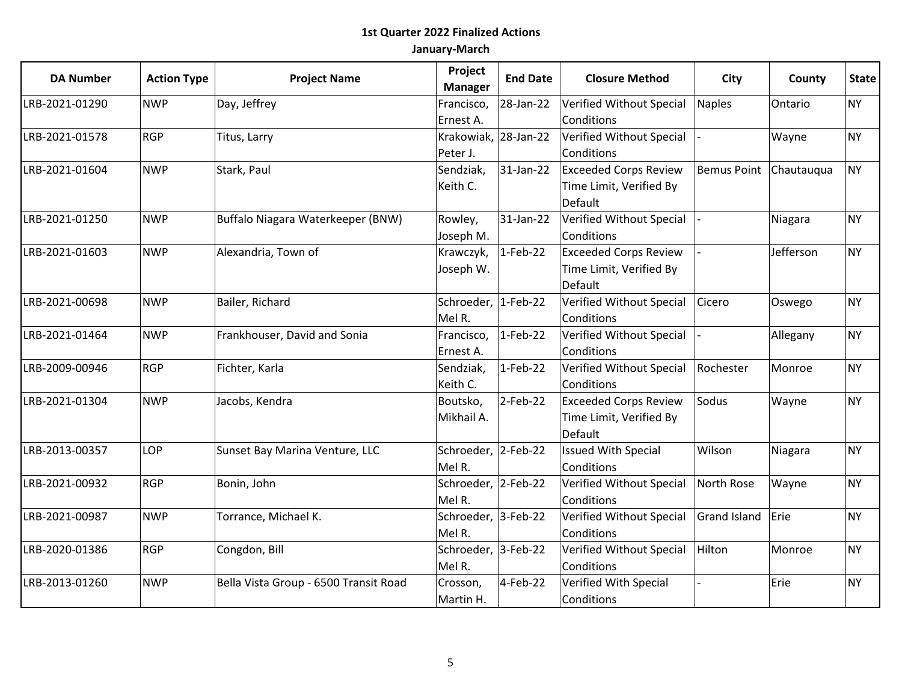| <b>DA Number</b> | <b>Action Type</b> | <b>Project Name</b>                   | Project<br><b>Manager</b> | <b>End Date</b> | <b>Closure Method</b>        | City                     | County    | <b>State</b> |
|------------------|--------------------|---------------------------------------|---------------------------|-----------------|------------------------------|--------------------------|-----------|--------------|
| LRB-2021-01290   | <b>NWP</b>         | Day, Jeffrey                          | Francisco,                | 28-Jan-22       | Verified Without Special     | Naples                   | Ontario   | <b>NY</b>    |
|                  |                    |                                       | Ernest A.                 |                 | Conditions                   |                          |           |              |
| LRB-2021-01578   | <b>RGP</b>         | Titus, Larry                          | Krakowiak, 28-Jan-22      |                 | Verified Without Special     |                          | Wayne     | <b>NY</b>    |
|                  |                    |                                       | Peter J.                  |                 | Conditions                   |                          |           |              |
| LRB-2021-01604   | <b>NWP</b>         | Stark, Paul                           | Sendziak,                 | 31-Jan-22       | <b>Exceeded Corps Review</b> | Bemus Point   Chautauqua |           | <b>NY</b>    |
|                  |                    |                                       | Keith C.                  |                 | Time Limit, Verified By      |                          |           |              |
|                  |                    |                                       |                           |                 | Default                      |                          |           |              |
| LRB-2021-01250   | <b>NWP</b>         | Buffalo Niagara Waterkeeper (BNW)     | Rowley,                   | 31-Jan-22       | Verified Without Special     |                          | Niagara   | <b>NY</b>    |
|                  |                    |                                       | Joseph M.                 |                 | Conditions                   |                          |           |              |
| LRB-2021-01603   | <b>NWP</b>         | Alexandria, Town of                   | Krawczyk,                 | $1-Feb-22$      | <b>Exceeded Corps Review</b> |                          | Jefferson | <b>NY</b>    |
|                  |                    |                                       | Joseph W.                 |                 | Time Limit, Verified By      |                          |           |              |
|                  |                    |                                       |                           |                 | Default                      |                          |           |              |
| LRB-2021-00698   | <b>NWP</b>         | Bailer, Richard                       | Schroeder, 1-Feb-22       |                 | Verified Without Special     | Cicero                   | Oswego    | <b>NY</b>    |
|                  |                    |                                       | Mel R.                    |                 | Conditions                   |                          |           |              |
| LRB-2021-01464   | <b>NWP</b>         | Frankhouser, David and Sonia          | Francisco,                | $1-Feb-22$      | Verified Without Special     |                          | Allegany  | <b>NY</b>    |
|                  |                    |                                       | Ernest A.                 |                 | Conditions                   |                          |           |              |
| LRB-2009-00946   | <b>RGP</b>         | Fichter, Karla                        | Sendziak,                 | $1-Feb-22$      | Verified Without Special     | Rochester                | Monroe    | <b>NY</b>    |
|                  |                    |                                       | Keith C.                  |                 | Conditions                   |                          |           |              |
| LRB-2021-01304   | <b>NWP</b>         | Jacobs, Kendra                        | Boutsko,                  | 2-Feb-22        | <b>Exceeded Corps Review</b> | Sodus                    | Wayne     | <b>NY</b>    |
|                  |                    |                                       | Mikhail A.                |                 | Time Limit, Verified By      |                          |           |              |
|                  |                    |                                       |                           |                 | Default                      |                          |           |              |
| LRB-2013-00357   | LOP                | Sunset Bay Marina Venture, LLC        | Schroeder, 2-Feb-22       |                 | <b>Issued With Special</b>   | Wilson                   | Niagara   | <b>NY</b>    |
|                  |                    |                                       | Mel R.                    |                 | Conditions                   |                          |           |              |
| LRB-2021-00932   | <b>RGP</b>         | Bonin, John                           | Schroeder, 2-Feb-22       |                 | Verified Without Special     | North Rose               | Wayne     | <b>NY</b>    |
|                  |                    |                                       | Mel R.                    |                 | Conditions                   |                          |           |              |
| LRB-2021-00987   | <b>NWP</b>         | Torrance, Michael K.                  | Schroeder, 3-Feb-22       |                 | Verified Without Special     | Grand Island             | Erie      | <b>NY</b>    |
|                  |                    |                                       | Mel R.                    |                 | Conditions                   |                          |           |              |
| LRB-2020-01386   | <b>RGP</b>         | Congdon, Bill                         | Schroeder, 3-Feb-22       |                 | Verified Without Special     | Hilton                   | Monroe    | <b>NY</b>    |
|                  |                    |                                       | Mel R.                    |                 | Conditions                   |                          |           |              |
| LRB-2013-01260   | <b>NWP</b>         | Bella Vista Group - 6500 Transit Road | Crosson,                  | $4$ -Feb-22     | Verified With Special        |                          | Erie      | <b>NY</b>    |
|                  |                    |                                       | Martin H.                 |                 | Conditions                   |                          |           |              |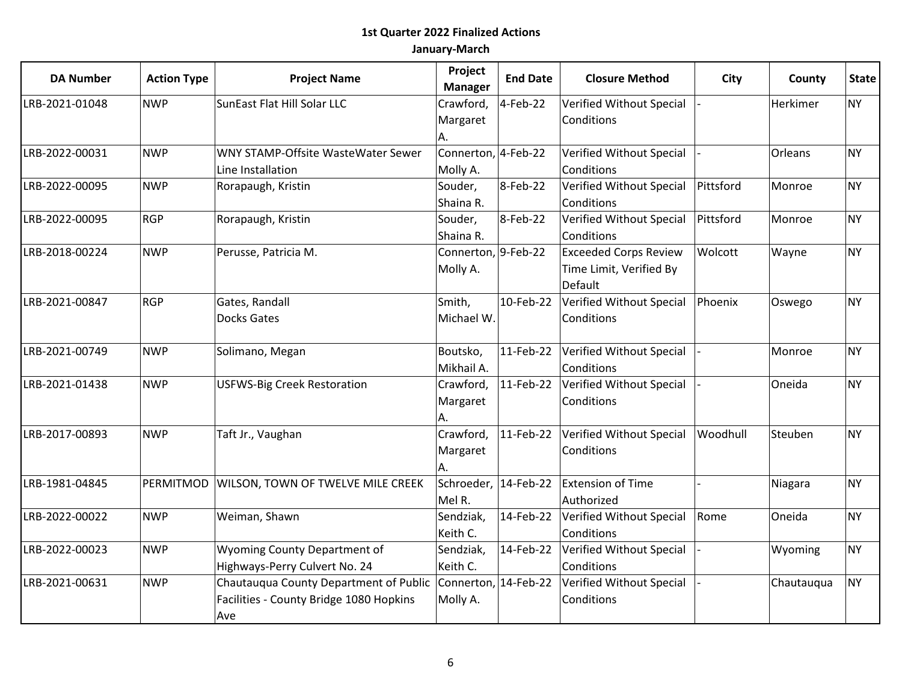| <b>DA Number</b> | <b>Action Type</b> | <b>Project Name</b>                                                                                           | Project<br><b>Manager</b>       | <b>End Date</b> | <b>Closure Method</b>                                              | City      | County     | <b>State</b> |
|------------------|--------------------|---------------------------------------------------------------------------------------------------------------|---------------------------------|-----------------|--------------------------------------------------------------------|-----------|------------|--------------|
| LRB-2021-01048   | <b>NWP</b>         | SunEast Flat Hill Solar LLC                                                                                   | Crawford,<br>Margaret<br>А.     | 4-Feb-22        | Verified Without Special<br>Conditions                             |           | Herkimer   | <b>NY</b>    |
| LRB-2022-00031   | <b>NWP</b>         | WNY STAMP-Offsite WasteWater Sewer<br>Line Installation                                                       | Connerton, 4-Feb-22<br>Molly A. |                 | Verified Without Special<br>Conditions                             |           | Orleans    | <b>NY</b>    |
| LRB-2022-00095   | <b>NWP</b>         | Rorapaugh, Kristin                                                                                            | Souder,<br>Shaina R.            | 8-Feb-22        | Verified Without Special<br>Conditions                             | Pittsford | Monroe     | <b>NY</b>    |
| LRB-2022-00095   | <b>RGP</b>         | Rorapaugh, Kristin                                                                                            | Souder,<br>Shaina R.            | 8-Feb-22        | Verified Without Special<br>Conditions                             | Pittsford | Monroe     | <b>NY</b>    |
| LRB-2018-00224   | <b>NWP</b>         | Perusse, Patricia M.                                                                                          | Connerton, 9-Feb-22<br>Molly A. |                 | <b>Exceeded Corps Review</b><br>Time Limit, Verified By<br>Default | Wolcott   | Wayne      | <b>NY</b>    |
| LRB-2021-00847   | <b>RGP</b>         | Gates, Randall<br><b>Docks Gates</b>                                                                          | Smith,<br>Michael W.            | 10-Feb-22       | Verified Without Special<br>Conditions                             | Phoenix   | Oswego     | <b>NY</b>    |
| LRB-2021-00749   | <b>NWP</b>         | Solimano, Megan                                                                                               | Boutsko,<br>Mikhail A.          | 11-Feb-22       | Verified Without Special<br>Conditions                             |           | Monroe     | <b>NY</b>    |
| LRB-2021-01438   | <b>NWP</b>         | <b>USFWS-Big Creek Restoration</b>                                                                            | Crawford,<br>Margaret<br>А.     | 11-Feb-22       | Verified Without Special<br>Conditions                             |           | Oneida     | <b>NY</b>    |
| LRB-2017-00893   | <b>NWP</b>         | Taft Jr., Vaughan                                                                                             | Crawford,<br>Margaret<br>А.     | 11-Feb-22       | Verified Without Special<br>Conditions                             | Woodhull  | Steuben    | <b>NY</b>    |
| LRB-1981-04845   | PERMITMOD          | <b>WILSON, TOWN OF TWELVE MILE CREEK</b>                                                                      | Schroeder, 14-Feb-22<br>Mel R.  |                 | <b>Extension of Time</b><br>Authorized                             |           | Niagara    | <b>NY</b>    |
| LRB-2022-00022   | <b>NWP</b>         | Weiman, Shawn                                                                                                 | Sendziak,<br>Keith C.           | 14-Feb-22       | Verified Without Special<br>Conditions                             | Rome      | Oneida     | <b>NY</b>    |
| LRB-2022-00023   | <b>NWP</b>         | <b>Wyoming County Department of</b><br>Highways-Perry Culvert No. 24                                          | Sendziak,<br>Keith C.           | 14-Feb-22       | Verified Without Special<br>Conditions                             |           | Wyoming    | <b>NY</b>    |
| LRB-2021-00631   | <b>NWP</b>         | Chautauqua County Department of Public Connerton, 14-Feb-22<br>Facilities - County Bridge 1080 Hopkins<br>Ave | Molly A.                        |                 | Verified Without Special<br>Conditions                             |           | Chautauqua | <b>NY</b>    |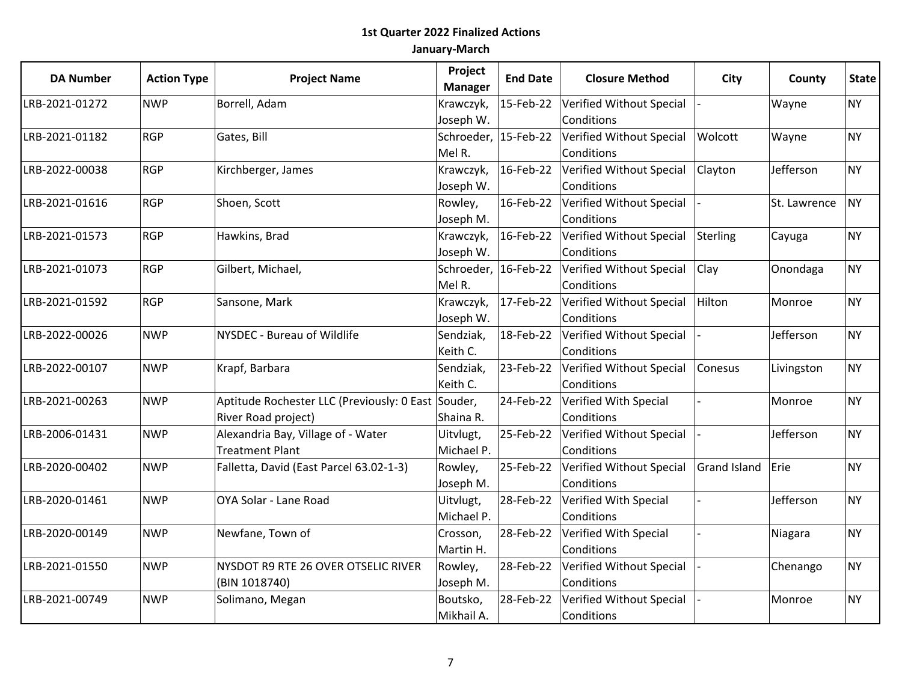| <b>DA Number</b> | <b>Action Type</b> | <b>Project Name</b>                                | Project<br><b>Manager</b> | <b>End Date</b>      | <b>Closure Method</b>              | City                | County       | <b>State</b> |
|------------------|--------------------|----------------------------------------------------|---------------------------|----------------------|------------------------------------|---------------------|--------------|--------------|
| LRB-2021-01272   | <b>NWP</b>         | Borrell, Adam                                      | Krawczyk,                 | 15-Feb-22            | Verified Without Special           |                     | Wayne        | <b>NY</b>    |
|                  |                    |                                                    | Joseph W.                 |                      | Conditions                         |                     |              |              |
| LRB-2021-01182   | <b>RGP</b>         | Gates, Bill                                        |                           | Schroeder, 15-Feb-22 | Verified Without Special           | Wolcott             | Wayne        | <b>NY</b>    |
|                  |                    |                                                    | Mel R.                    |                      | Conditions                         |                     |              |              |
| LRB-2022-00038   | <b>RGP</b>         | Kirchberger, James                                 | Krawczyk,                 | 16-Feb-22            | Verified Without Special           | Clayton             | Jefferson    | <b>NY</b>    |
|                  |                    |                                                    | Joseph W.                 |                      | Conditions                         |                     |              |              |
| LRB-2021-01616   | <b>RGP</b>         | Shoen, Scott                                       | Rowley,                   |                      | 16-Feb-22 Verified Without Special |                     | St. Lawrence | <b>NY</b>    |
|                  |                    |                                                    | Joseph M.                 |                      | Conditions                         |                     |              |              |
| LRB-2021-01573   | <b>RGP</b>         | Hawkins, Brad                                      | Krawczyk,                 | 16-Feb-22            | Verified Without Special           | Sterling            | Cayuga       | <b>NY</b>    |
|                  |                    |                                                    | Joseph W.                 |                      | Conditions                         |                     |              |              |
| LRB-2021-01073   | <b>RGP</b>         | Gilbert, Michael,                                  |                           | Schroeder, 16-Feb-22 | Verified Without Special           | Clay                | Onondaga     | <b>NY</b>    |
|                  |                    |                                                    | Mel R.                    |                      | Conditions                         |                     |              |              |
| LRB-2021-01592   | RGP                | Sansone, Mark                                      | Krawczyk,                 | 17-Feb-22            | Verified Without Special           | Hilton              | Monroe       | <b>NY</b>    |
|                  |                    |                                                    | Joseph W.                 |                      | Conditions                         |                     |              |              |
| LRB-2022-00026   | <b>NWP</b>         | NYSDEC - Bureau of Wildlife                        | Sendziak,                 | 18-Feb-22            | Verified Without Special           |                     | Jefferson    | <b>NY</b>    |
|                  |                    |                                                    | Keith C.                  |                      | Conditions                         |                     |              |              |
| LRB-2022-00107   | <b>NWP</b>         | Krapf, Barbara                                     | Sendziak,                 | 23-Feb-22            | Verified Without Special           | <b>Conesus</b>      | Livingston   | <b>NY</b>    |
|                  |                    |                                                    | Keith C.                  |                      | Conditions                         |                     |              |              |
| LRB-2021-00263   | <b>NWP</b>         | Aptitude Rochester LLC (Previously: 0 East Souder, |                           | 24-Feb-22            | Verified With Special              |                     | Monroe       | <b>NY</b>    |
|                  |                    | River Road project)                                | Shaina R.                 |                      | Conditions                         |                     |              |              |
| LRB-2006-01431   | <b>NWP</b>         | Alexandria Bay, Village of - Water                 | Uitvlugt,                 | 25-Feb-22            | Verified Without Special           |                     | Jefferson    | <b>NY</b>    |
|                  |                    | <b>Treatment Plant</b>                             | Michael P.                |                      | Conditions                         |                     |              |              |
| LRB-2020-00402   | <b>NWP</b>         | Falletta, David (East Parcel 63.02-1-3)            | Rowley,                   | 25-Feb-22            | Verified Without Special           | <b>Grand Island</b> | Erie         | <b>NY</b>    |
|                  |                    |                                                    | Joseph M.                 |                      | Conditions                         |                     |              |              |
| LRB-2020-01461   | <b>NWP</b>         | OYA Solar - Lane Road                              | Uitvlugt,                 | 28-Feb-22            | Verified With Special              |                     | Jefferson    | <b>NY</b>    |
|                  |                    |                                                    | Michael P.                |                      | Conditions                         |                     |              |              |
| LRB-2020-00149   | <b>NWP</b>         | Newfane, Town of                                   | Crosson,                  | 28-Feb-22            | Verified With Special              |                     | Niagara      | <b>NY</b>    |
|                  |                    |                                                    | Martin H.                 |                      | Conditions                         |                     |              |              |
| LRB-2021-01550   | <b>NWP</b>         | NYSDOT R9 RTE 26 OVER OTSELIC RIVER                | Rowley,                   | 28-Feb-22            | Verified Without Special           |                     | Chenango     | <b>NY</b>    |
|                  |                    | (BIN 1018740)                                      | Joseph M.                 |                      | Conditions                         |                     |              |              |
| LRB-2021-00749   | <b>NWP</b>         | Solimano, Megan                                    | Boutsko,                  | 28-Feb-22            | Verified Without Special           |                     | Monroe       | <b>NY</b>    |
|                  |                    |                                                    | Mikhail A.                |                      | Conditions                         |                     |              |              |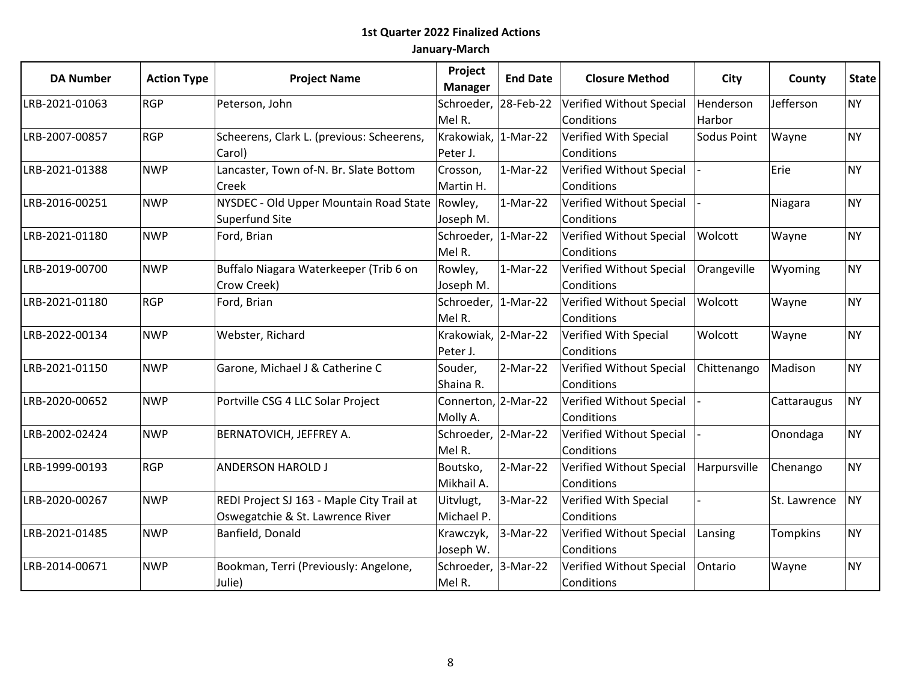| <b>DA Number</b> | <b>Action Type</b> | <b>Project Name</b>                       | Project<br><b>Manager</b> | <b>End Date</b> | <b>Closure Method</b>    | City         | County       | <b>State</b> |
|------------------|--------------------|-------------------------------------------|---------------------------|-----------------|--------------------------|--------------|--------------|--------------|
| LRB-2021-01063   | <b>RGP</b>         | Peterson, John                            | Schroeder, 28-Feb-22      |                 | Verified Without Special | Henderson    | Jefferson    | <b>NY</b>    |
|                  |                    |                                           | Mel R.                    |                 | Conditions               | Harbor       |              |              |
| LRB-2007-00857   | <b>RGP</b>         | Scheerens, Clark L. (previous: Scheerens, | Krakowiak, 1-Mar-22       |                 | Verified With Special    | Sodus Point  | Wayne        | <b>NY</b>    |
|                  |                    | Carol)                                    | Peter J.                  |                 | Conditions               |              |              |              |
| LRB-2021-01388   | <b>NWP</b>         | Lancaster, Town of-N. Br. Slate Bottom    | Crosson,                  | $1-Mar-22$      | Verified Without Special |              | Erie         | <b>NY</b>    |
|                  |                    | Creek                                     | Martin H.                 |                 | Conditions               |              |              |              |
| LRB-2016-00251   | <b>NWP</b>         | NYSDEC - Old Upper Mountain Road State    | Rowley,                   | $1-Mar-22$      | Verified Without Special |              | Niagara      | <b>NY</b>    |
|                  |                    | Superfund Site                            | Joseph M.                 |                 | Conditions               |              |              |              |
| LRB-2021-01180   | <b>NWP</b>         | Ford, Brian                               | Schroeder,  1-Mar-22      |                 | Verified Without Special | Wolcott      | Wayne        | <b>NY</b>    |
|                  |                    |                                           | Mel R.                    |                 | Conditions               |              |              |              |
| LRB-2019-00700   | <b>NWP</b>         | Buffalo Niagara Waterkeeper (Trib 6 on    | Rowley,                   | $1-Mar-22$      | Verified Without Special | Orangeville  | Wyoming      | <b>NY</b>    |
|                  |                    | Crow Creek)                               | Joseph M.                 |                 | Conditions               |              |              |              |
| LRB-2021-01180   | <b>RGP</b>         | Ford, Brian                               | Schroeder,  1-Mar-22      |                 | Verified Without Special | Wolcott      | Wayne        | <b>NY</b>    |
|                  |                    |                                           | Mel R.                    |                 | Conditions               |              |              |              |
| LRB-2022-00134   | <b>NWP</b>         | Webster, Richard                          | Krakowiak, 2-Mar-22       |                 | Verified With Special    | Wolcott      | Wayne        | <b>NY</b>    |
|                  |                    |                                           | Peter J.                  |                 | Conditions               |              |              |              |
| LRB-2021-01150   | <b>NWP</b>         | Garone, Michael J & Catherine C           | Souder,                   | 2-Mar-22        | Verified Without Special | Chittenango  | Madison      | <b>NY</b>    |
|                  |                    |                                           | Shaina R.                 |                 | Conditions               |              |              |              |
| LRB-2020-00652   | <b>NWP</b>         | Portville CSG 4 LLC Solar Project         | Connerton, 2-Mar-22       |                 | Verified Without Special |              | Cattaraugus  | <b>NY</b>    |
|                  |                    |                                           | Molly A.                  |                 | Conditions               |              |              |              |
| LRB-2002-02424   | <b>NWP</b>         | BERNATOVICH, JEFFREY A.                   | Schroeder, 2-Mar-22       |                 | Verified Without Special |              | Onondaga     | <b>NY</b>    |
|                  |                    |                                           | Mel R.                    |                 | Conditions               |              |              |              |
| LRB-1999-00193   | <b>RGP</b>         | <b>ANDERSON HAROLD J</b>                  | Boutsko,                  | $2-Mar-22$      | Verified Without Special | Harpursville | Chenango     | <b>NY</b>    |
|                  |                    |                                           | Mikhail A.                |                 | Conditions               |              |              |              |
| LRB-2020-00267   | <b>NWP</b>         | REDI Project SJ 163 - Maple City Trail at | Uitvlugt,                 | 3-Mar-22        | Verified With Special    |              | St. Lawrence | <b>NY</b>    |
|                  |                    | Oswegatchie & St. Lawrence River          | Michael P.                |                 | Conditions               |              |              |              |
| LRB-2021-01485   | <b>NWP</b>         | Banfield, Donald                          | Krawczyk,                 | 3-Mar-22        | Verified Without Special | Lansing      | Tompkins     | <b>NY</b>    |
|                  |                    |                                           | Joseph W.                 |                 | Conditions               |              |              |              |
| LRB-2014-00671   | <b>NWP</b>         | Bookman, Terri (Previously: Angelone,     | Schroeder, 3-Mar-22       |                 | Verified Without Special | Ontario      | Wayne        | <b>NY</b>    |
|                  |                    | Julie)                                    | Mel R.                    |                 | Conditions               |              |              |              |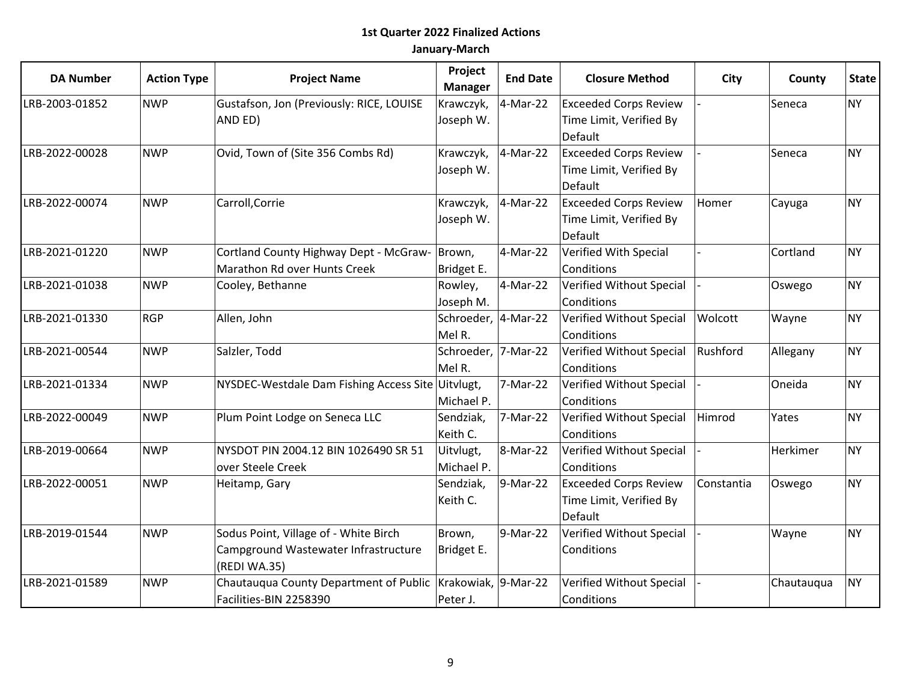| <b>DA Number</b> | <b>Action Type</b> | <b>Project Name</b>                               | Project<br><b>Manager</b> | <b>End Date</b> | <b>Closure Method</b>        | City       | County     | <b>State</b> |
|------------------|--------------------|---------------------------------------------------|---------------------------|-----------------|------------------------------|------------|------------|--------------|
| LRB-2003-01852   | <b>NWP</b>         | Gustafson, Jon (Previously: RICE, LOUISE          | Krawczyk,                 | 4-Mar-22        | <b>Exceeded Corps Review</b> |            | Seneca     | <b>NY</b>    |
|                  |                    | AND ED)                                           | Joseph W.                 |                 | Time Limit, Verified By      |            |            |              |
|                  |                    |                                                   |                           |                 | Default                      |            |            |              |
| LRB-2022-00028   | <b>NWP</b>         | Ovid, Town of (Site 356 Combs Rd)                 | Krawczyk,                 | 4-Mar-22        | <b>Exceeded Corps Review</b> |            | Seneca     | <b>NY</b>    |
|                  |                    |                                                   | Joseph W.                 |                 | Time Limit, Verified By      |            |            |              |
|                  |                    |                                                   |                           |                 | Default                      |            |            |              |
| LRB-2022-00074   | <b>NWP</b>         | Carroll, Corrie                                   | Krawczyk,                 | 4-Mar-22        | <b>Exceeded Corps Review</b> | Homer      | Cayuga     | <b>NY</b>    |
|                  |                    |                                                   | Joseph W.                 |                 | Time Limit, Verified By      |            |            |              |
|                  |                    |                                                   |                           |                 | Default                      |            |            |              |
| LRB-2021-01220   | <b>NWP</b>         | Cortland County Highway Dept - McGraw-            | Brown,                    | 4-Mar-22        | Verified With Special        |            | Cortland   | <b>NY</b>    |
|                  |                    | Marathon Rd over Hunts Creek                      | Bridget E.                |                 | Conditions                   |            |            |              |
| LRB-2021-01038   | <b>NWP</b>         | Cooley, Bethanne                                  | Rowley,                   | 4-Mar-22        | Verified Without Special     |            | Oswego     | <b>NY</b>    |
|                  |                    |                                                   | Joseph M.                 |                 | Conditions                   |            |            |              |
| LRB-2021-01330   | <b>RGP</b>         | Allen, John                                       | Schroeder, 4-Mar-22       |                 | Verified Without Special     | Wolcott    | Wayne      | <b>NY</b>    |
|                  |                    |                                                   | Mel R.                    |                 | Conditions                   |            |            |              |
| LRB-2021-00544   | <b>NWP</b>         | Salzler, Todd                                     | Schroeder, 7-Mar-22       |                 | Verified Without Special     | Rushford   | Allegany   | <b>NY</b>    |
|                  |                    |                                                   | Mel R.                    |                 | Conditions                   |            |            |              |
| LRB-2021-01334   | <b>NWP</b>         | NYSDEC-Westdale Dam Fishing Access Site Uitvlugt, |                           | 7-Mar-22        | Verified Without Special     |            | Oneida     | <b>NY</b>    |
|                  |                    |                                                   | Michael P.                |                 | Conditions                   |            |            |              |
| LRB-2022-00049   | <b>NWP</b>         | Plum Point Lodge on Seneca LLC                    | Sendziak,                 | 7-Mar-22        | Verified Without Special     | Himrod     | Yates      | <b>NY</b>    |
|                  |                    |                                                   | Keith C.                  |                 | Conditions                   |            |            |              |
| LRB-2019-00664   | <b>NWP</b>         | NYSDOT PIN 2004.12 BIN 1026490 SR 51              | Uitvlugt,                 | 8-Mar-22        | Verified Without Special     |            | Herkimer   | <b>NY</b>    |
|                  |                    | over Steele Creek                                 | Michael P.                |                 | Conditions                   |            |            |              |
| LRB-2022-00051   | <b>NWP</b>         | Heitamp, Gary                                     | Sendziak,                 | 9-Mar-22        | <b>Exceeded Corps Review</b> | Constantia | Oswego     | <b>NY</b>    |
|                  |                    |                                                   | Keith C.                  |                 | Time Limit, Verified By      |            |            |              |
|                  |                    |                                                   |                           |                 | Default                      |            |            |              |
| LRB-2019-01544   | <b>NWP</b>         | Sodus Point, Village of - White Birch             | Brown,                    | 9-Mar-22        | Verified Without Special     |            | Wayne      | <b>NY</b>    |
|                  |                    | Campground Wastewater Infrastructure              | Bridget E.                |                 | Conditions                   |            |            |              |
|                  |                    | (REDI WA.35)                                      |                           |                 |                              |            |            |              |
| LRB-2021-01589   | <b>NWP</b>         | Chautauqua County Department of Public            | Krakowiak, 9-Mar-22       |                 | Verified Without Special     |            | Chautauqua | <b>NY</b>    |
|                  |                    | Facilities-BIN 2258390                            | Peter J.                  |                 | Conditions                   |            |            |              |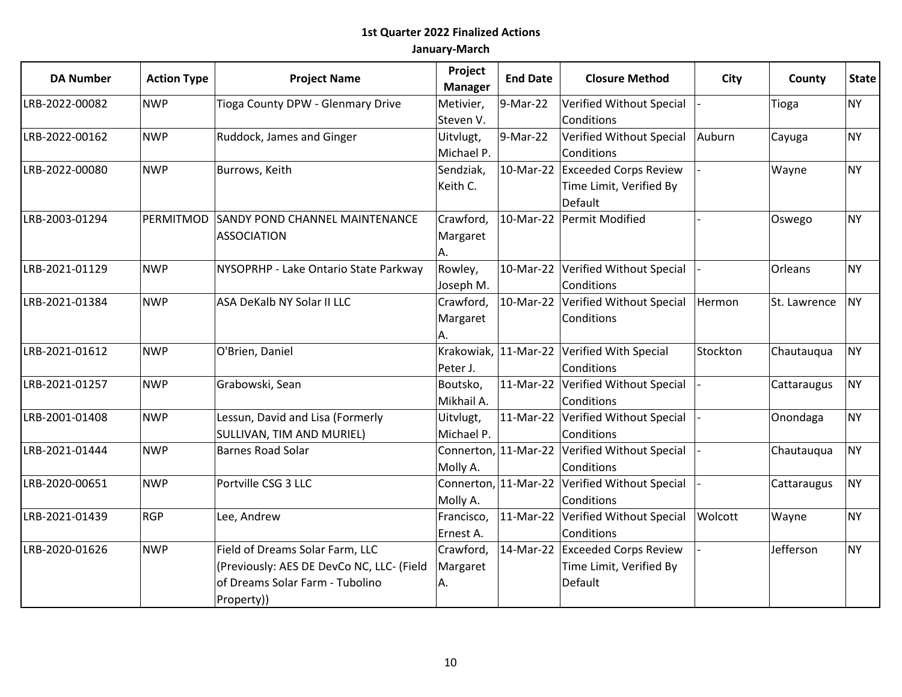| <b>DA Number</b> | <b>Action Type</b> | <b>Project Name</b>                       | Project<br><b>Manager</b> | <b>End Date</b>      | <b>Closure Method</b>                         | City     | County       | <b>State</b> |
|------------------|--------------------|-------------------------------------------|---------------------------|----------------------|-----------------------------------------------|----------|--------------|--------------|
| LRB-2022-00082   | <b>NWP</b>         | Tioga County DPW - Glenmary Drive         | Metivier,                 | 9-Mar-22             | Verified Without Special                      |          | Tioga        | <b>NY</b>    |
|                  |                    |                                           | Steven V.                 |                      | Conditions                                    |          |              |              |
| LRB-2022-00162   | <b>NWP</b>         | Ruddock, James and Ginger                 | Uitvlugt,                 | 9-Mar-22             | Verified Without Special                      | Auburn   | Cayuga       | <b>NY</b>    |
|                  |                    |                                           | Michael P.                |                      | Conditions                                    |          |              |              |
| LRB-2022-00080   | <b>NWP</b>         | Burrows, Keith                            | Sendziak,                 |                      | 10-Mar-22 Exceeded Corps Review               |          | Wayne        | <b>NY</b>    |
|                  |                    |                                           | Keith C.                  |                      | Time Limit, Verified By                       |          |              |              |
|                  |                    |                                           |                           |                      | Default                                       |          |              |              |
| LRB-2003-01294   | PERMITMOD          | <b>SANDY POND CHANNEL MAINTENANCE</b>     | Crawford,                 |                      | 10-Mar-22 Permit Modified                     |          | Oswego       | <b>NY</b>    |
|                  |                    | <b>ASSOCIATION</b>                        | Margaret                  |                      |                                               |          |              |              |
|                  |                    |                                           | А.                        |                      |                                               |          |              |              |
| LRB-2021-01129   | <b>NWP</b>         | NYSOPRHP - Lake Ontario State Parkway     | Rowley,                   | 10-Mar-22            | Verified Without Special                      |          | Orleans      | <b>NY</b>    |
|                  |                    |                                           | Joseph M.                 |                      | Conditions                                    |          |              |              |
| LRB-2021-01384   | <b>NWP</b>         | ASA DeKalb NY Solar II LLC                | Crawford,                 |                      | 10-Mar-22 Verified Without Special            | Hermon   | St. Lawrence | <b>NY</b>    |
|                  |                    |                                           | Margaret                  |                      | Conditions                                    |          |              |              |
|                  |                    |                                           | A.                        |                      |                                               |          |              |              |
| LRB-2021-01612   | <b>NWP</b>         | O'Brien, Daniel                           |                           |                      | Krakowiak, 11-Mar-22 Verified With Special    | Stockton | Chautauqua   | <b>NY</b>    |
|                  |                    |                                           | Peter J.                  |                      | Conditions                                    |          |              |              |
| LRB-2021-01257   | <b>NWP</b>         | Grabowski, Sean                           | Boutsko,                  |                      | 11-Mar-22 Verified Without Special            |          | Cattaraugus  | <b>NY</b>    |
|                  |                    |                                           | Mikhail A.                |                      | Conditions                                    |          |              |              |
| LRB-2001-01408   | <b>NWP</b>         | Lessun, David and Lisa (Formerly          | Uitvlugt,                 | 11-Mar-22            | Verified Without Special                      |          | Onondaga     | <b>NY</b>    |
|                  |                    | SULLIVAN, TIM AND MURIEL)                 | Michael P.                |                      | Conditions                                    |          |              |              |
| LRB-2021-01444   | <b>NWP</b>         | <b>Barnes Road Solar</b>                  |                           |                      | Connerton, 11-Mar-22 Verified Without Special |          | Chautauqua   | <b>NY</b>    |
|                  |                    |                                           | Molly A.                  |                      | Conditions                                    |          |              |              |
| LRB-2020-00651   | <b>NWP</b>         | Portville CSG 3 LLC                       |                           | Connerton, 11-Mar-22 | Verified Without Special                      |          | Cattaraugus  | <b>NY</b>    |
|                  |                    |                                           | Molly A.                  |                      | Conditions                                    |          |              |              |
| LRB-2021-01439   | <b>RGP</b>         | Lee, Andrew                               | Francisco,                |                      | 11-Mar-22 Verified Without Special            | Wolcott  | Wayne        | <b>NY</b>    |
|                  |                    |                                           | Ernest A.                 |                      | Conditions                                    |          |              |              |
| LRB-2020-01626   | <b>NWP</b>         | Field of Dreams Solar Farm, LLC           | Crawford,                 |                      | 14-Mar-22 Exceeded Corps Review               |          | Jefferson    | <b>NY</b>    |
|                  |                    | (Previously: AES DE DevCo NC, LLC- (Field | Margaret                  |                      | Time Limit, Verified By                       |          |              |              |
|                  |                    | of Dreams Solar Farm - Tubolino           | Α.                        |                      | Default                                       |          |              |              |
|                  |                    | Property))                                |                           |                      |                                               |          |              |              |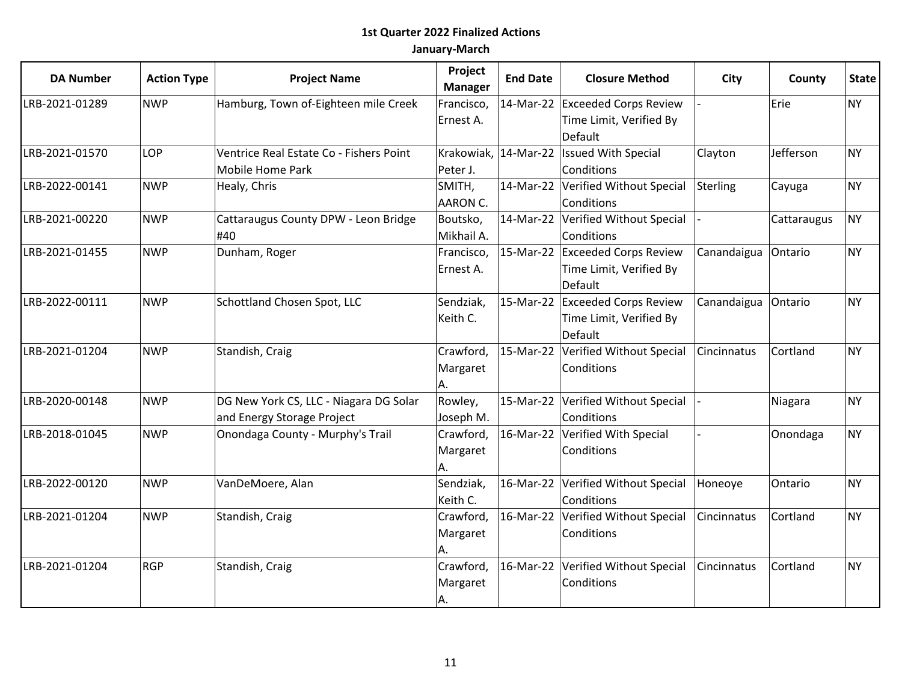| <b>DA Number</b> | <b>Action Type</b> | <b>Project Name</b>                     | Project<br><b>Manager</b> | <b>End Date</b> | <b>Closure Method</b>                    | City        | County      | <b>State</b> |
|------------------|--------------------|-----------------------------------------|---------------------------|-----------------|------------------------------------------|-------------|-------------|--------------|
| LRB-2021-01289   | <b>NWP</b>         | Hamburg, Town of-Eighteen mile Creek    | Francisco,                |                 | 14-Mar-22 Exceeded Corps Review          |             | Erie        | <b>NY</b>    |
|                  |                    |                                         | Ernest A.                 |                 | Time Limit, Verified By                  |             |             |              |
|                  |                    |                                         |                           |                 | Default                                  |             |             |              |
| LRB-2021-01570   | LOP                | Ventrice Real Estate Co - Fishers Point |                           |                 | Krakowiak, 14-Mar-22 Issued With Special | Clayton     | Jefferson   | <b>NY</b>    |
|                  |                    | Mobile Home Park                        | Peter J.                  |                 | Conditions                               |             |             |              |
| LRB-2022-00141   | <b>NWP</b>         | Healy, Chris                            | SMITH,                    |                 | 14-Mar-22 Verified Without Special       | Sterling    | Cayuga      | <b>NY</b>    |
|                  |                    |                                         | AARON C.                  |                 | Conditions                               |             |             |              |
| LRB-2021-00220   | <b>NWP</b>         | Cattaraugus County DPW - Leon Bridge    | Boutsko,                  |                 | 14-Mar-22 Verified Without Special       |             | Cattaraugus | <b>NY</b>    |
|                  |                    | #40                                     | Mikhail A.                |                 | Conditions                               |             |             |              |
| LRB-2021-01455   | <b>NWP</b>         | Dunham, Roger                           | Francisco,                |                 | 15-Mar-22 Exceeded Corps Review          | Canandaigua | Ontario     | <b>NY</b>    |
|                  |                    |                                         | Ernest A.                 |                 | Time Limit, Verified By                  |             |             |              |
|                  |                    |                                         |                           |                 | Default                                  |             |             |              |
| LRB-2022-00111   | <b>NWP</b>         | Schottland Chosen Spot, LLC             | Sendziak,                 |                 | 15-Mar-22 Exceeded Corps Review          | Canandaigua | Ontario     | <b>NY</b>    |
|                  |                    |                                         | Keith C.                  |                 | Time Limit, Verified By                  |             |             |              |
|                  |                    |                                         |                           |                 | Default                                  |             |             |              |
| LRB-2021-01204   | <b>NWP</b>         | Standish, Craig                         | Crawford,                 |                 | 15-Mar-22 Verified Without Special       | Cincinnatus | Cortland    | <b>NY</b>    |
|                  |                    |                                         | Margaret                  |                 | Conditions                               |             |             |              |
|                  |                    |                                         | А.                        |                 |                                          |             |             |              |
| LRB-2020-00148   | <b>NWP</b>         | DG New York CS, LLC - Niagara DG Solar  | Rowley,                   | 15-Mar-22       | Verified Without Special                 |             | Niagara     | <b>NY</b>    |
|                  |                    | and Energy Storage Project              | Joseph M.                 |                 | Conditions                               |             |             |              |
| LRB-2018-01045   | <b>NWP</b>         | Onondaga County - Murphy's Trail        | Crawford,                 |                 | 16-Mar-22 Verified With Special          |             | Onondaga    | <b>NY</b>    |
|                  |                    |                                         | Margaret                  |                 | Conditions                               |             |             |              |
|                  |                    |                                         | А.                        |                 |                                          |             |             |              |
| LRB-2022-00120   | <b>NWP</b>         | VanDeMoere, Alan                        | Sendziak,                 |                 | 16-Mar-22 Verified Without Special       | Honeoye     | Ontario     | <b>NY</b>    |
|                  |                    |                                         | Keith C.                  |                 | Conditions                               |             |             |              |
| LRB-2021-01204   | <b>NWP</b>         | Standish, Craig                         | Crawford,                 |                 | 16-Mar-22 Verified Without Special       | Cincinnatus | Cortland    | <b>NY</b>    |
|                  |                    |                                         | Margaret                  |                 | Conditions                               |             |             |              |
|                  |                    |                                         | А.                        |                 |                                          |             |             |              |
| LRB-2021-01204   | <b>RGP</b>         | Standish, Craig                         | Crawford,                 |                 | 16-Mar-22 Verified Without Special       | Cincinnatus | Cortland    | <b>NY</b>    |
|                  |                    |                                         | Margaret                  |                 | Conditions                               |             |             |              |
|                  |                    |                                         | Α.                        |                 |                                          |             |             |              |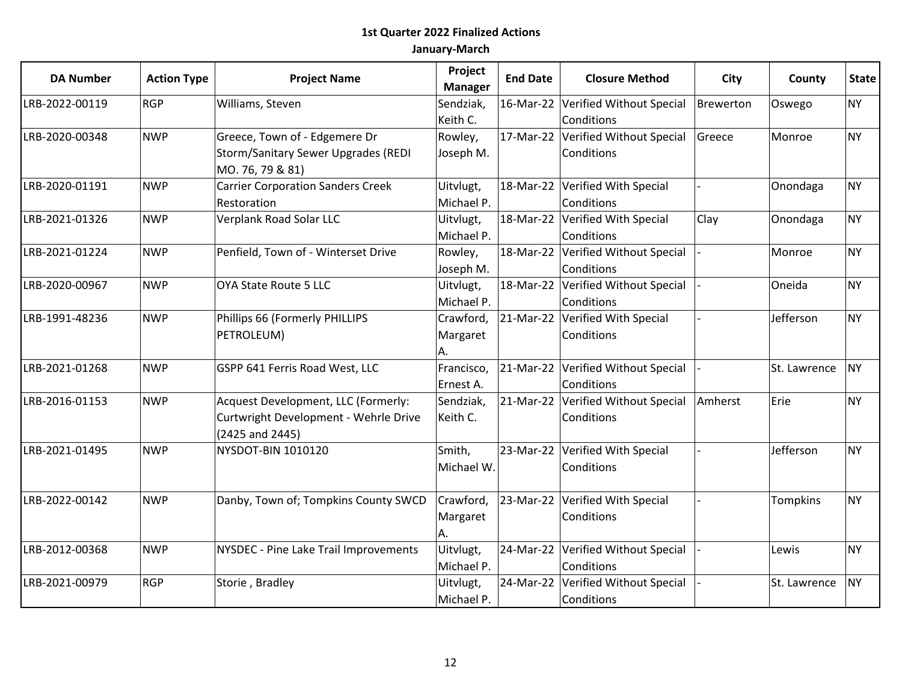| <b>DA Number</b> | <b>Action Type</b> | <b>Project Name</b>                                                                             | Project<br><b>Manager</b>   | <b>End Date</b> | <b>Closure Method</b>                            | City      | County          | <b>State</b> |
|------------------|--------------------|-------------------------------------------------------------------------------------------------|-----------------------------|-----------------|--------------------------------------------------|-----------|-----------------|--------------|
| LRB-2022-00119   | <b>RGP</b>         | Williams, Steven                                                                                | Sendziak,                   | 16-Mar-22       | Verified Without Special                         | Brewerton | Oswego          | <b>NY</b>    |
|                  |                    |                                                                                                 | Keith C.                    |                 | Conditions                                       |           |                 |              |
| LRB-2020-00348   | <b>NWP</b>         | Greece, Town of - Edgemere Dr<br><b>Storm/Sanitary Sewer Upgrades (REDI</b><br>MO. 76, 79 & 81) | Rowley,<br>Joseph M.        | 17-Mar-22       | Verified Without Special<br>Conditions           | Greece    | Monroe          | <b>NY</b>    |
| LRB-2020-01191   | <b>NWP</b>         | <b>Carrier Corporation Sanders Creek</b><br>Restoration                                         | Uitvlugt,<br>Michael P.     |                 | 18-Mar-22 Verified With Special<br>Conditions    |           | Onondaga        | <b>NY</b>    |
| LRB-2021-01326   | <b>NWP</b>         | Verplank Road Solar LLC                                                                         | Uitvlugt,<br>Michael P.     | 18-Mar-22       | Verified With Special<br>Conditions              | Clay      | Onondaga        | <b>NY</b>    |
| LRB-2021-01224   | <b>NWP</b>         | Penfield, Town of - Winterset Drive                                                             | Rowley,<br>Joseph M.        | 18-Mar-22       | Verified Without Special<br>Conditions           |           | Monroe          | <b>NY</b>    |
| LRB-2020-00967   | <b>NWP</b>         | OYA State Route 5 LLC                                                                           | Uitvlugt,<br>Michael P.     | 18-Mar-22       | Verified Without Special<br>Conditions           |           | Oneida          | <b>NY</b>    |
| LRB-1991-48236   | <b>NWP</b>         | Phillips 66 (Formerly PHILLIPS<br>PETROLEUM)                                                    | Crawford,<br>Margaret<br>А. | 21-Mar-22       | Verified With Special<br>Conditions              |           | Jefferson       | <b>NY</b>    |
| LRB-2021-01268   | <b>NWP</b>         | GSPP 641 Ferris Road West, LLC                                                                  | Francisco,<br>Ernest A.     |                 | 21-Mar-22 Verified Without Special<br>Conditions |           | St. Lawrence    | <b>NY</b>    |
| LRB-2016-01153   | <b>NWP</b>         | Acquest Development, LLC (Formerly:<br>Curtwright Development - Wehrle Drive<br>(2425 and 2445) | Sendziak,<br>Keith C.       | 21-Mar-22       | Verified Without Special<br>Conditions           | Amherst   | Erie            | <b>NY</b>    |
| LRB-2021-01495   | <b>NWP</b>         | NYSDOT-BIN 1010120                                                                              | Smith,<br>Michael W.        | 23-Mar-22       | Verified With Special<br>Conditions              |           | Jefferson       | <b>NY</b>    |
| LRB-2022-00142   | <b>NWP</b>         | Danby, Town of; Tompkins County SWCD                                                            | Crawford,<br>Margaret<br>А. |                 | 23-Mar-22 Verified With Special<br>Conditions    |           | <b>Tompkins</b> | <b>NY</b>    |
| LRB-2012-00368   | <b>NWP</b>         | NYSDEC - Pine Lake Trail Improvements                                                           | Uitvlugt,<br>Michael P.     |                 | 24-Mar-22 Verified Without Special<br>Conditions |           | Lewis           | <b>NY</b>    |
| LRB-2021-00979   | <b>RGP</b>         | Storie, Bradley                                                                                 | Uitvlugt,<br>Michael P.     | 24-Mar-22       | Verified Without Special<br>Conditions           |           | St. Lawrence    | <b>NY</b>    |